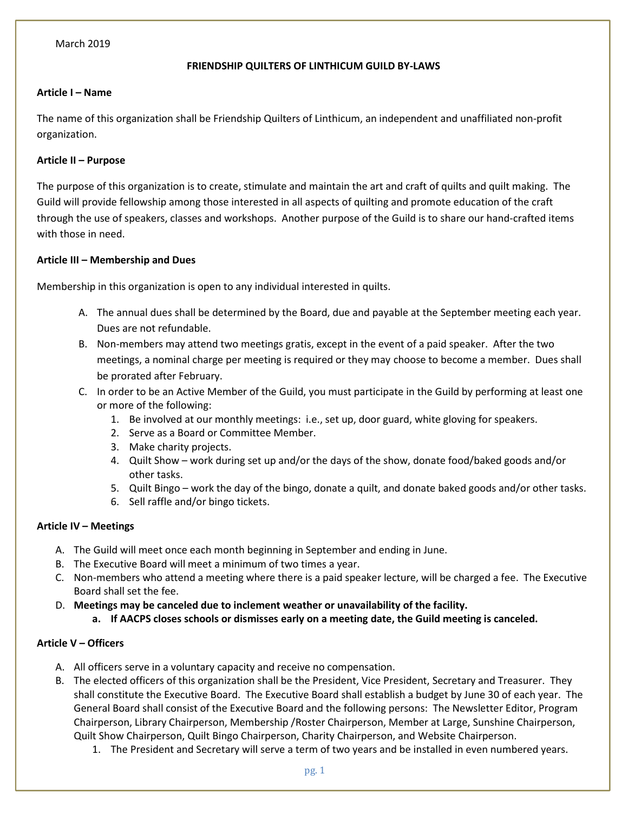# FRIENDSHIP QUILTERS OF LINTHICUM GUILD BY-LAWS

## Article I – Name

The name of this organization shall be Friendship Quilters of Linthicum, an independent and unaffiliated non-profit organization.

## Article II – Purpose

The purpose of this organization is to create, stimulate and maintain the art and craft of quilts and quilt making. The Guild will provide fellowship among those interested in all aspects of quilting and promote education of the craft through the use of speakers, classes and workshops. Another purpose of the Guild is to share our hand-crafted items with those in need.

## Article III – Membership and Dues

Membership in this organization is open to any individual interested in quilts.

- A. The annual dues shall be determined by the Board, due and payable at the September meeting each year. Dues are not refundable.
- B. Non-members may attend two meetings gratis, except in the event of a paid speaker. After the two meetings, a nominal charge per meeting is required or they may choose to become a member. Dues shall be prorated after February.
- C. In order to be an Active Member of the Guild, you must participate in the Guild by performing at least one or more of the following:
	- 1. Be involved at our monthly meetings: i.e., set up, door guard, white gloving for speakers.
	- 2. Serve as a Board or Committee Member.
	- 3. Make charity projects.
	- 4. Quilt Show work during set up and/or the days of the show, donate food/baked goods and/or other tasks.
	- 5. Quilt Bingo work the day of the bingo, donate a quilt, and donate baked goods and/or other tasks.
	- 6. Sell raffle and/or bingo tickets.

## Article IV – Meetings

- A. The Guild will meet once each month beginning in September and ending in June.
- B. The Executive Board will meet a minimum of two times a year.
- C. Non-members who attend a meeting where there is a paid speaker lecture, will be charged a fee. The Executive Board shall set the fee.
- D. Meetings may be canceled due to inclement weather or unavailability of the facility.
	- a. If AACPS closes schools or dismisses early on a meeting date, the Guild meeting is canceled.

## Article V – Officers

- A. All officers serve in a voluntary capacity and receive no compensation.
- B. The elected officers of this organization shall be the President, Vice President, Secretary and Treasurer. They shall constitute the Executive Board. The Executive Board shall establish a budget by June 30 of each year. The General Board shall consist of the Executive Board and the following persons: The Newsletter Editor, Program Chairperson, Library Chairperson, Membership /Roster Chairperson, Member at Large, Sunshine Chairperson, Quilt Show Chairperson, Quilt Bingo Chairperson, Charity Chairperson, and Website Chairperson.
	- 1. The President and Secretary will serve a term of two years and be installed in even numbered years.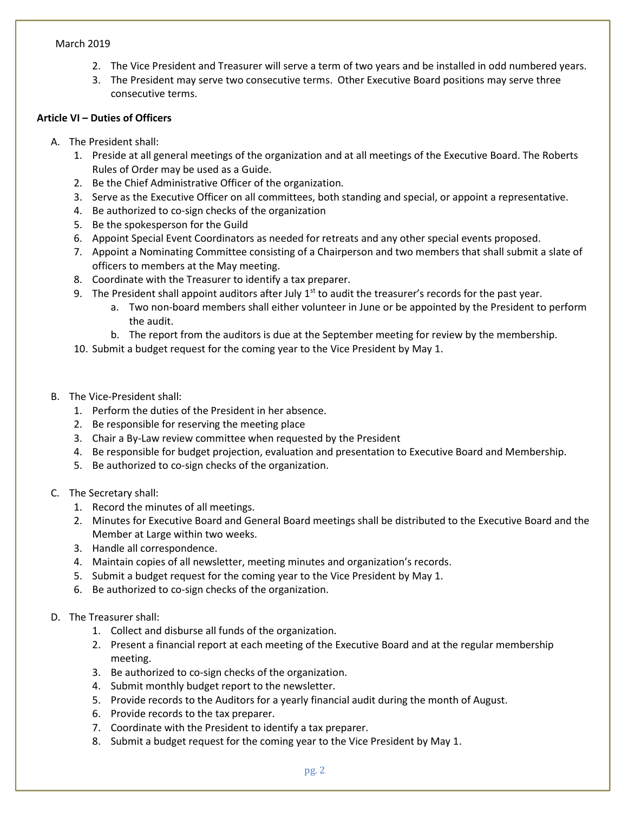- 2. The Vice President and Treasurer will serve a term of two years and be installed in odd numbered years.
- 3. The President may serve two consecutive terms. Other Executive Board positions may serve three consecutive terms.

## Article VI – Duties of Officers

- A. The President shall:
	- 1. Preside at all general meetings of the organization and at all meetings of the Executive Board. The Roberts Rules of Order may be used as a Guide.
	- 2. Be the Chief Administrative Officer of the organization.
	- 3. Serve as the Executive Officer on all committees, both standing and special, or appoint a representative.
	- 4. Be authorized to co-sign checks of the organization
	- 5. Be the spokesperson for the Guild
	- 6. Appoint Special Event Coordinators as needed for retreats and any other special events proposed.
	- 7. Appoint a Nominating Committee consisting of a Chairperson and two members that shall submit a slate of officers to members at the May meeting.
	- 8. Coordinate with the Treasurer to identify a tax preparer.
	- 9. The President shall appoint auditors after July  $1<sup>st</sup>$  to audit the treasurer's records for the past year.
		- a. Two non-board members shall either volunteer in June or be appointed by the President to perform the audit.
		- b. The report from the auditors is due at the September meeting for review by the membership.
	- 10. Submit a budget request for the coming year to the Vice President by May 1.
- B. The Vice-President shall:
	- 1. Perform the duties of the President in her absence.
	- 2. Be responsible for reserving the meeting place
	- 3. Chair a By-Law review committee when requested by the President
	- 4. Be responsible for budget projection, evaluation and presentation to Executive Board and Membership.
	- 5. Be authorized to co-sign checks of the organization.
- C. The Secretary shall:
	- 1. Record the minutes of all meetings.
	- 2. Minutes for Executive Board and General Board meetings shall be distributed to the Executive Board and the Member at Large within two weeks.
	- 3. Handle all correspondence.
	- 4. Maintain copies of all newsletter, meeting minutes and organization's records.
	- 5. Submit a budget request for the coming year to the Vice President by May 1.
	- 6. Be authorized to co-sign checks of the organization.

## D. The Treasurer shall:

- 1. Collect and disburse all funds of the organization.
- 2. Present a financial report at each meeting of the Executive Board and at the regular membership meeting.
- 3. Be authorized to co-sign checks of the organization.
- 4. Submit monthly budget report to the newsletter.
- 5. Provide records to the Auditors for a yearly financial audit during the month of August.
- 6. Provide records to the tax preparer.
- 7. Coordinate with the President to identify a tax preparer.
- 8. Submit a budget request for the coming year to the Vice President by May 1.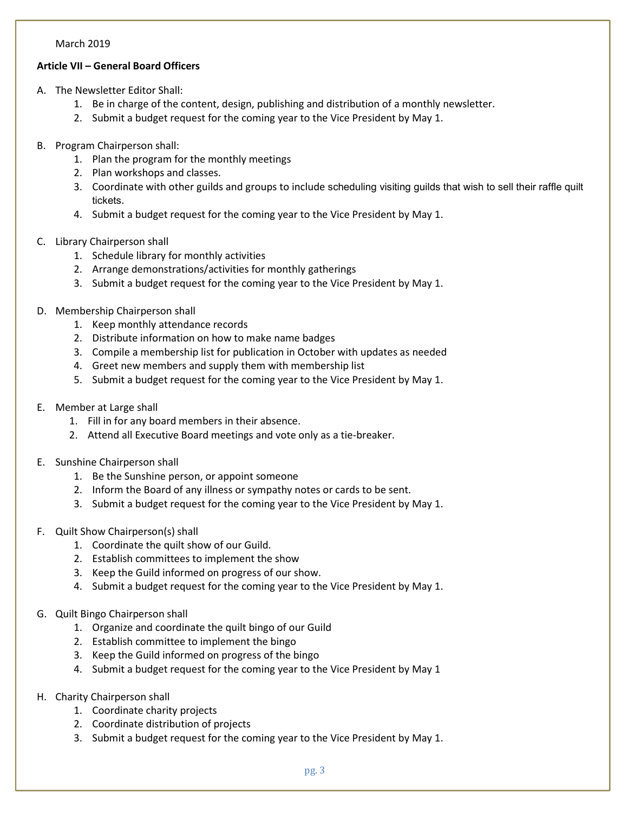# Article VII – General Board Officers

- A. The Newsletter Editor Shall:
	- 1. Be in charge of the content, design, publishing and distribution of a monthly newsletter.
	- 2. Submit a budget request for the coming year to the Vice President by May 1.
- B. Program Chairperson shall:
	- 1. Plan the program for the monthly meetings
	- 2. Plan workshops and classes.
	- 3. Coordinate with other guilds and groups to include scheduling visiting guilds that wish to sell their raffle quilt tickets.
	- 4. Submit a budget request for the coming year to the Vice President by May 1.
- C. Library Chairperson shall
	- 1. Schedule library for monthly activities
	- 2. Arrange demonstrations/activities for monthly gatherings
	- 3. Submit a budget request for the coming year to the Vice President by May 1.
- D. Membership Chairperson shall
	- 1. Keep monthly attendance records
	- 2. Distribute information on how to make name badges
	- 3. Compile a membership list for publication in October with updates as needed
	- 4. Greet new members and supply them with membership list
	- 5. Submit a budget request for the coming year to the Vice President by May 1.
- E. Member at Large shall
	- 1. Fill in for any board members in their absence.
	- 2. Attend all Executive Board meetings and vote only as a tie-breaker.
- E. Sunshine Chairperson shall
	- 1. Be the Sunshine person, or appoint someone
	- 2. Inform the Board of any illness or sympathy notes or cards to be sent.
	- 3. Submit a budget request for the coming year to the Vice President by May 1.
- F. Quilt Show Chairperson(s) shall
	- 1. Coordinate the quilt show of our Guild.
	- 2. Establish committees to implement the show
	- 3. Keep the Guild informed on progress of our show.
	- 4. Submit a budget request for the coming year to the Vice President by May 1.
- G. Quilt Bingo Chairperson shall
	- 1. Organize and coordinate the quilt bingo of our Guild
	- 2. Establish committee to implement the bingo
	- 3. Keep the Guild informed on progress of the bingo
	- 4. Submit a budget request for the coming year to the Vice President by May 1
- H. Charity Chairperson shall
	- 1. Coordinate charity projects
	- 2. Coordinate distribution of projects
	- 3. Submit a budget request for the coming year to the Vice President by May 1.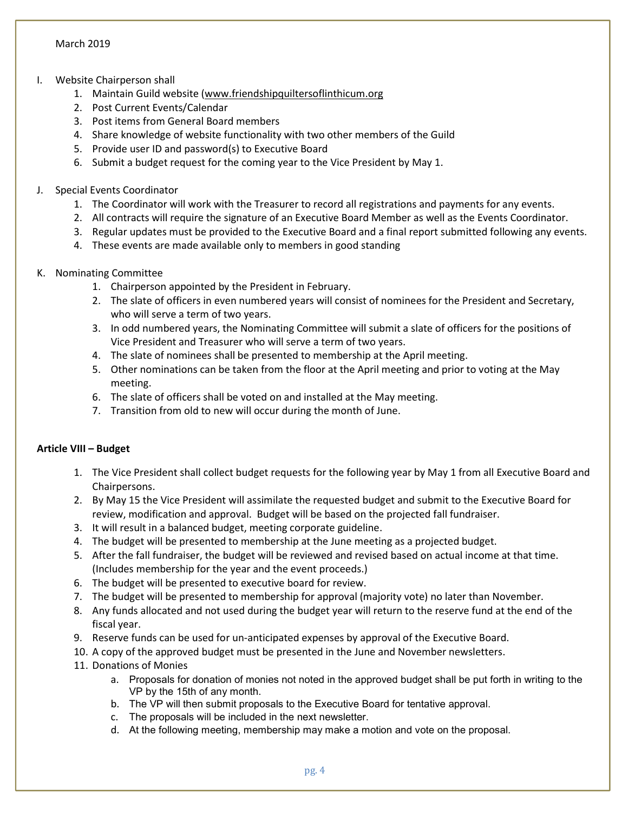## I. Website Chairperson shall

- 1. Maintain Guild website (www.friendshipquiltersoflinthicum.org
- 2. Post Current Events/Calendar
- 3. Post items from General Board members
- 4. Share knowledge of website functionality with two other members of the Guild
- 5. Provide user ID and password(s) to Executive Board
- 6. Submit a budget request for the coming year to the Vice President by May 1.

## J. Special Events Coordinator

- 1. The Coordinator will work with the Treasurer to record all registrations and payments for any events.
- 2. All contracts will require the signature of an Executive Board Member as well as the Events Coordinator.
- 3. Regular updates must be provided to the Executive Board and a final report submitted following any events.
- 4. These events are made available only to members in good standing

# K. Nominating Committee

- 1. Chairperson appointed by the President in February.
- 2. The slate of officers in even numbered years will consist of nominees for the President and Secretary, who will serve a term of two years.
- 3. In odd numbered years, the Nominating Committee will submit a slate of officers for the positions of Vice President and Treasurer who will serve a term of two years.
- 4. The slate of nominees shall be presented to membership at the April meeting.
- 5. Other nominations can be taken from the floor at the April meeting and prior to voting at the May meeting.
- 6. The slate of officers shall be voted on and installed at the May meeting.
- 7. Transition from old to new will occur during the month of June.

## Article VIII – Budget

- 1. The Vice President shall collect budget requests for the following year by May 1 from all Executive Board and Chairpersons.
- 2. By May 15 the Vice President will assimilate the requested budget and submit to the Executive Board for review, modification and approval. Budget will be based on the projected fall fundraiser.
- 3. It will result in a balanced budget, meeting corporate guideline.
- 4. The budget will be presented to membership at the June meeting as a projected budget.
- 5. After the fall fundraiser, the budget will be reviewed and revised based on actual income at that time. (Includes membership for the year and the event proceeds.)
- 6. The budget will be presented to executive board for review.
- 7. The budget will be presented to membership for approval (majority vote) no later than November.
- 8. Any funds allocated and not used during the budget year will return to the reserve fund at the end of the fiscal year.
- 9. Reserve funds can be used for un-anticipated expenses by approval of the Executive Board.
- 10. A copy of the approved budget must be presented in the June and November newsletters.
- 11. Donations of Monies
	- a. Proposals for donation of monies not noted in the approved budget shall be put forth in writing to the VP by the 15th of any month.
	- b. The VP will then submit proposals to the Executive Board for tentative approval.
	- c. The proposals will be included in the next newsletter.
	- d. At the following meeting, membership may make a motion and vote on the proposal.